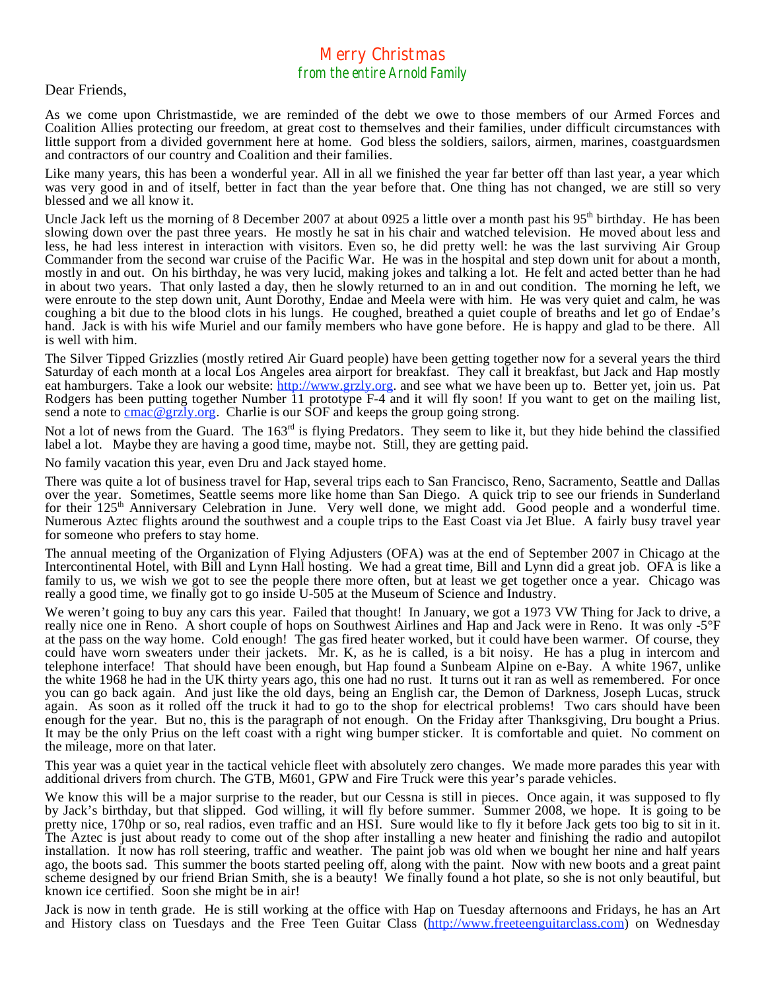## Merry Christmas from the entire Arnold Family

Dear Friends,

As we come upon Christmastide, we are reminded of the debt we owe to those members of our Armed Forces and Coalition Allies protecting our freedom, at great cost to themselves and their families, under difficult circumstances with little support from a divided government here at home. God bless the soldiers, sailors, airmen, marines, coastguardsmen and contractors of our country and Coalition and their families.

Like many years, this has been a wonderful year. All in all we finished the year far better off than last year, a year which was very good in and of itself, better in fact than the year before that. One thing has not changed, we are still so very blessed and we all know it.

Uncle Jack left us the morning of 8 December 2007 at about 0925 a little over a month past his 95<sup>th</sup> birthday. He has been slowing down over the past three years. He mostly he sat in his chair and watched television. He moved about less and less, he had less interest in interaction with visitors. Even so, he did pretty well: he was the last surviving Air Group Commander from the second war cruise of the Pacific War. He was in the hospital and step down unit for about a month, mostly in and out. On his birthday, he was very lucid, making jokes and talking a lot. He felt and acted better than he had in about two years. That only lasted a day, then he slowly returned to an in and out condition. The morning he left, we were enroute to the step down unit, Aunt Dorothy, Endae and Meela were with him. He was very quiet and calm, he was coughing a bit due to the blood clots in his lungs. He coughed, breathed a quiet couple of breaths and let go of Endae's hand. Jack is with his wife Muriel and our family members who have gone before. He is happy and glad to be there. All is well with him.

The Silver Tipped Grizzlies (mostly retired Air Guard people) have been getting together now for a several years the third Saturday of each month at a local Los Angeles area airport for breakfast. They call it breakfast, but Jack and Hap mostly eat hamburgers. Take a look our website: http://www.grzly.org. and see what we have been up to. Better yet, join us. Pat Rodgers has been putting together Number 11 prototype F-4 and it will fly soon! If you want to get on the mailing list, send a note to  $\frac{\text{cmac} \times \text{grz}}{\text{gyz}}$ , Charlie is our SOF and keeps the group going strong.

Not a lot of news from the Guard. The 163<sup>rd</sup> is flying Predators. They seem to like it, but they hide behind the classified label a lot. Maybe they are having a good time, maybe not. Still, they are getting paid.

No family vacation this year, even Dru and Jack stayed home.

There was quite a lot of business travel for Hap, several trips each to San Francisco, Reno, Sacramento, Seattle and Dallas over the year. Sometimes, Seattle seems more like home than San Diego. A quick trip to see our friends in Sunderland for their 125<sup>th</sup> Anniversary Celebration in June. Very well done, we might add. Good people and a wonderful time. Numerous Aztec flights around the southwest and a couple trips to the East Coast via Jet Blue. A fairly busy travel year for someone who prefers to stay home.

The annual meeting of the Organization of Flying Adjusters (OFA) was at the end of September 2007 in Chicago at the Intercontinental Hotel, with Bill and Lynn Hall hosting. We had a great time, Bill and Lynn did a great job. OFA is like a family to us, we wish we got to see the people there more often, but at least we get together once a year. Chicago was really a good time, we finally got to go inside U-505 at the Museum of Science and Industry.

We weren't going to buy any cars this year. Failed that thought! In January, we got a 1973 VW Thing for Jack to drive, a really nice one in Reno. A short couple of hops on Southwest Airlines and Hap and Jack were in Reno. It was only -5°F at the pass on the way home. Cold enough! The gas fired heater worked, but it could have been warmer. Of course, they could have worn sweaters under their jackets. Mr. K, as he is called, is a bit noisy. He has a plug in intercom and telephone interface! That should have been enough, but Hap found a Sunbeam Alpine on e-Bay. A white 1967, unlike the white 1968 he had in the UK thirty years ago, this one had no rust. It turns out it ran as well as remembered. For once you can go back again. And just like the old days, being an English car, the Demon of Darkness, Joseph Lucas, struck again. As soon as it rolled off the truck it had to go to the shop for electrical problems! Two cars should have been enough for the year. But no, this is the paragraph of not enough. On the Friday after Thanksgiving, Dru bought a Prius. It may be the only Prius on the left coast with a right wing bumper sticker. It is comfortable and quiet. No comment on the mileage, more on that later.

This year was a quiet year in the tactical vehicle fleet with absolutely zero changes. We made more parades this year with additional drivers from church. The GTB, M601, GPW and Fire Truck were this year's parade vehicles.

We know this will be a major surprise to the reader, but our Cessna is still in pieces. Once again, it was supposed to fly by Jack's birthday, but that slipped. God willing, it will fly before summer. Summer 2008, we hope. It is going to be pretty nice, 170hp or so, real radios, even traffic and an HSI. Sure would like to fly it before Jack gets too big to sit in it. The Aztec is just about ready to come out of the shop after installing a new heater and finishing the radio and autopilot installation. It now has roll steering, traffic and weather. The paint job was old when we bought her nine and half years ago, the boots sad. This summer the boots started peeling off, along with the paint. Now with new boots and a great paint scheme designed by our friend Brian Smith, she is a beauty! We finally found a hot plate, so she is not only beautiful, but known ice certified. Soon she might be in air!

Jack is now in tenth grade. He is still working at the office with Hap on Tuesday afternoons and Fridays, he has an Art and History class on Tuesdays and the Free Teen Guitar Class (http://www.freeteenguitarclass.com) on Wednesday